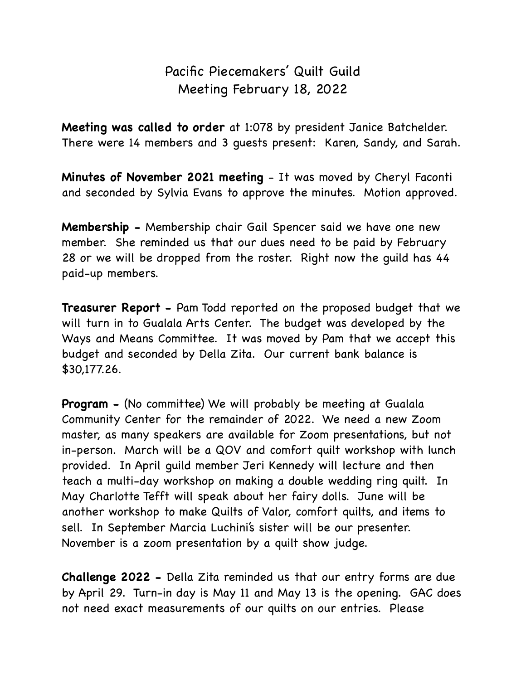## Pacific Piecemakers' Quilt Guild Meeting February 18, 2022

**Meeting was called to order** at 1:078 by president Janice Batchelder. There were 14 members and 3 guests present: Karen, Sandy, and Sarah.

**Minutes of November 2021 meeting** - It was moved by Cheryl Faconti and seconded by Sylvia Evans to approve the minutes. Motion approved.

**Membership -** Membership chair Gail Spencer said we have one new member. She reminded us that our dues need to be paid by February 28 or we will be dropped from the roster. Right now the guild has 44 paid-up members.

**Treasurer Report -** Pam Todd reported on the proposed budget that we will turn in to Gualala Arts Center. The budget was developed by the Ways and Means Committee. It was moved by Pam that we accept this budget and seconded by Della Zita. Our current bank balance is \$30,177.26.

**Program -** (No committee) We will probably be meeting at Gualala Community Center for the remainder of 2022. We need a new Zoom master, as many speakers are available for Zoom presentations, but not in-person. March will be a QOV and comfort quilt workshop with lunch provided. In April guild member Jeri Kennedy will lecture and then teach a multi-day workshop on making a double wedding ring quilt. In May Charlotte Tefft will speak about her fairy dolls. June will be another workshop to make Quilts of Valor, comfort quilts, and items to sell. In September Marcia Luchini's sister will be our presenter. November is a zoom presentation by a quilt show judge.

**Challenge 2022 -** Della Zita reminded us that our entry forms are due by April 29. Turn-in day is May 11 and May 13 is the opening. GAC does not need exact measurements of our quilts on our entries. Please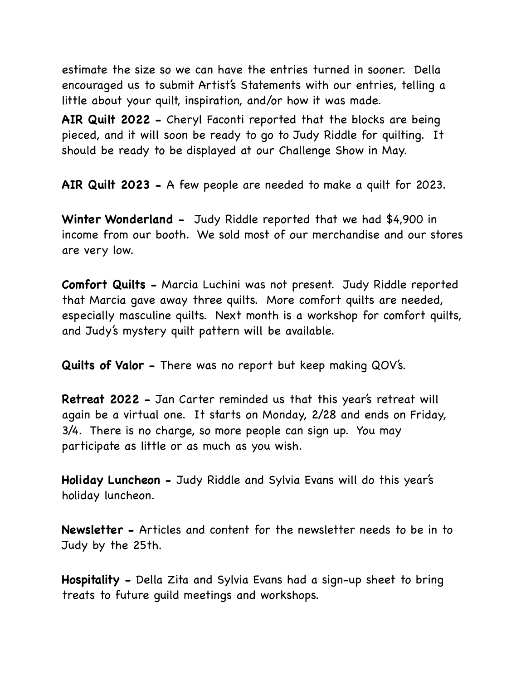estimate the size so we can have the entries turned in sooner. Della encouraged us to submit Artist's Statements with our entries, telling a little about your quilt, inspiration, and/or how it was made.

**AIR Quilt 2022 -** Cheryl Faconti reported that the blocks are being pieced, and it will soon be ready to go to Judy Riddle for quilting. It should be ready to be displayed at our Challenge Show in May.

**AIR Quilt 2023 -** A few people are needed to make a quilt for 2023.

**Winter Wonderland -** Judy Riddle reported that we had \$4,900 in income from our booth. We sold most of our merchandise and our stores are very low.

**Comfort Quilts -** Marcia Luchini was not present. Judy Riddle reported that Marcia gave away three quilts. More comfort quilts are needed, especially masculine quilts. Next month is a workshop for comfort quilts, and Judy's mystery quilt pattern will be available.

**Quilts of Valor -** There was no report but keep making QOV's.

**Retreat 2022 -** Jan Carter reminded us that this year's retreat will again be a virtual one. It starts on Monday, 2/28 and ends on Friday, 3/4. There is no charge, so more people can sign up. You may participate as little or as much as you wish.

**Holiday Luncheon -** Judy Riddle and Sylvia Evans will do this year's holiday luncheon.

**Newsletter -** Articles and content for the newsletter needs to be in to Judy by the 25th.

**Hospitality -** Della Zita and Sylvia Evans had a sign-up sheet to bring treats to future guild meetings and workshops.